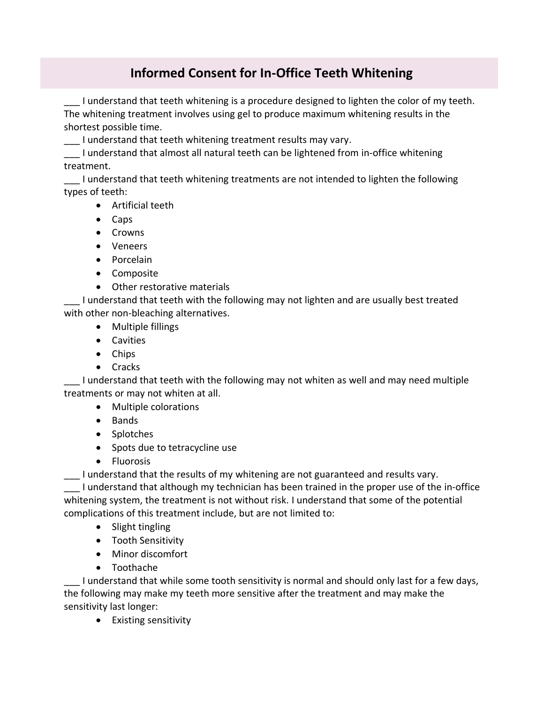## **Informed Consent for In-Office Teeth Whitening**

I understand that teeth whitening is a procedure designed to lighten the color of my teeth. The whitening treatment involves using gel to produce maximum whitening results in the shortest possible time.

I understand that teeth whitening treatment results may vary.

\_\_\_ I understand that almost all natural teeth can be lightened from in-office whitening treatment.

\_\_\_ I understand that teeth whitening treatments are not intended to lighten the following types of teeth:

- Artificial teeth
- Caps
- Crowns
- Veneers
- Porcelain
- Composite
- Other restorative materials

I understand that teeth with the following may not lighten and are usually best treated with other non-bleaching alternatives.

- Multiple fillings
- Cavities
- Chips
- Cracks

I understand that teeth with the following may not whiten as well and may need multiple treatments or may not whiten at all.

- Multiple colorations
- Bands
- Splotches
- Spots due to tetracycline use
- Fluorosis

\_\_\_ I understand that the results of my whitening are not guaranteed and results vary.

I understand that although my technician has been trained in the proper use of the in-office whitening system, the treatment is not without risk. I understand that some of the potential complications of this treatment include, but are not limited to:

- Slight tingling
- Tooth Sensitivity
- Minor discomfort
- Toothache

I understand that while some tooth sensitivity is normal and should only last for a few days, the following may make my teeth more sensitive after the treatment and may make the sensitivity last longer:

• Existing sensitivity